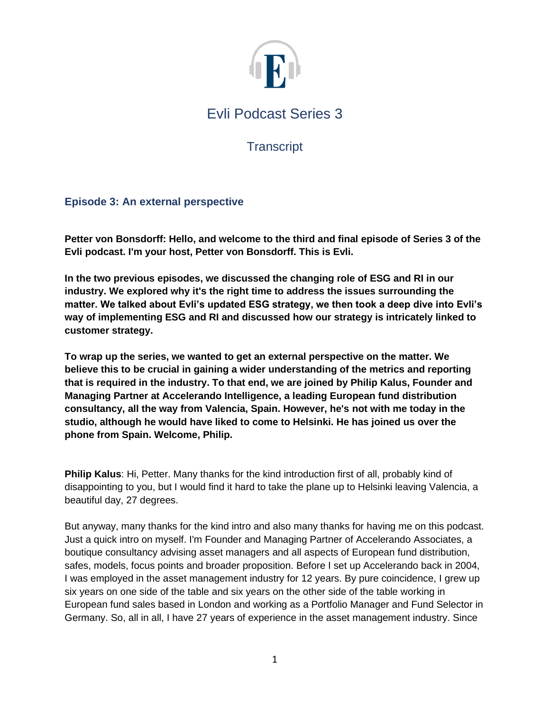

# Evli Podcast Series 3

**Transcript** 

# **Episode 3: An external perspective**

**Petter von Bonsdorff: Hello, and welcome to the third and final episode of Series 3 of the Evli podcast. I'm your host, Petter von Bonsdorff. This is Evli.**

**In the two previous episodes, we discussed the changing role of ESG and RI in our industry. We explored why it's the right time to address the issues surrounding the matter. We talked about Evli's updated ESG strategy, we then took a deep dive into Evli's way of implementing ESG and RI and discussed how our strategy is intricately linked to customer strategy.** 

**To wrap up the series, we wanted to get an external perspective on the matter. We believe this to be crucial in gaining a wider understanding of the metrics and reporting that is required in the industry. To that end, we are joined by Philip Kalus, Founder and Managing Partner at Accelerando Intelligence, a leading European fund distribution consultancy, all the way from Valencia, Spain. However, he's not with me today in the studio, although he would have liked to come to Helsinki. He has joined us over the phone from Spain. Welcome, Philip.** 

**Philip Kalus**: Hi, Petter. Many thanks for the kind introduction first of all, probably kind of disappointing to you, but I would find it hard to take the plane up to Helsinki leaving Valencia, a beautiful day, 27 degrees.

But anyway, many thanks for the kind intro and also many thanks for having me on this podcast. Just a quick intro on myself. I'm Founder and Managing Partner of Accelerando Associates, a boutique consultancy advising asset managers and all aspects of European fund distribution, safes, models, focus points and broader proposition. Before I set up Accelerando back in 2004, I was employed in the asset management industry for 12 years. By pure coincidence, I grew up six years on one side of the table and six years on the other side of the table working in European fund sales based in London and working as a Portfolio Manager and Fund Selector in Germany. So, all in all, I have 27 years of experience in the asset management industry. Since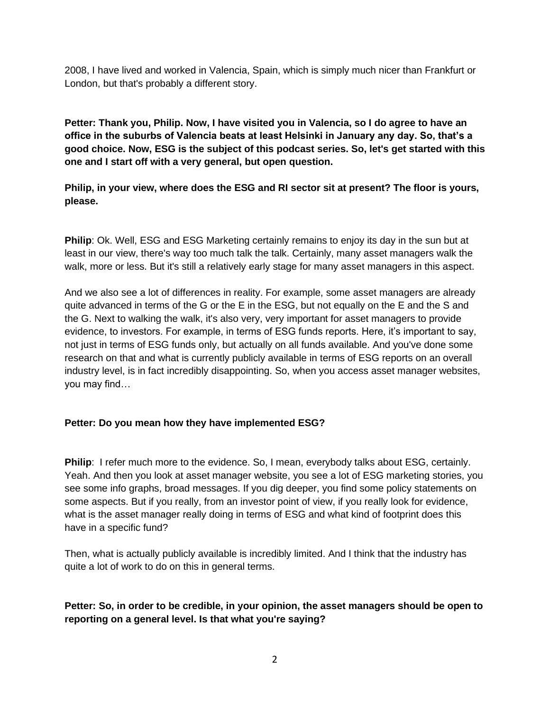2008, I have lived and worked in Valencia, Spain, which is simply much nicer than Frankfurt or London, but that's probably a different story.

**Petter: Thank you, Philip. Now, I have visited you in Valencia, so I do agree to have an office in the suburbs of Valencia beats at least Helsinki in January any day. So, that's a good choice. Now, ESG is the subject of this podcast series. So, let's get started with this one and I start off with a very general, but open question.**

**Philip, in your view, where does the ESG and RI sector sit at present? The floor is yours, please.**

**Philip**: Ok. Well, ESG and ESG Marketing certainly remains to enjoy its day in the sun but at least in our view, there's way too much talk the talk. Certainly, many asset managers walk the walk, more or less. But it's still a relatively early stage for many asset managers in this aspect.

And we also see a lot of differences in reality. For example, some asset managers are already quite advanced in terms of the G or the E in the ESG, but not equally on the E and the S and the G. Next to walking the walk, it's also very, very important for asset managers to provide evidence, to investors. For example, in terms of ESG funds reports. Here, it's important to say, not just in terms of ESG funds only, but actually on all funds available. And you've done some research on that and what is currently publicly available in terms of ESG reports on an overall industry level, is in fact incredibly disappointing. So, when you access asset manager websites, you may find…

## **Petter: Do you mean how they have implemented ESG?**

**Philip**: I refer much more to the evidence. So, I mean, everybody talks about ESG, certainly. Yeah. And then you look at asset manager website, you see a lot of ESG marketing stories, you see some info graphs, broad messages. If you dig deeper, you find some policy statements on some aspects. But if you really, from an investor point of view, if you really look for evidence, what is the asset manager really doing in terms of ESG and what kind of footprint does this have in a specific fund?

Then, what is actually publicly available is incredibly limited. And I think that the industry has quite a lot of work to do on this in general terms.

## **Petter: So, in order to be credible, in your opinion, the asset managers should be open to reporting on a general level. Is that what you're saying?**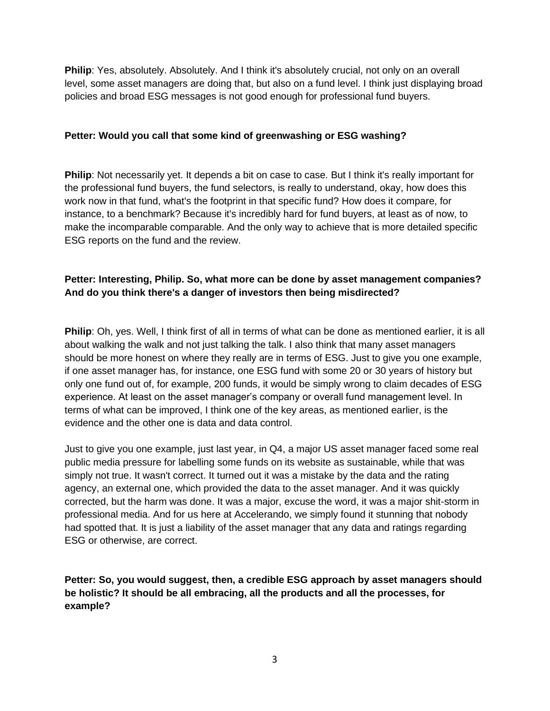**Philip**: Yes, absolutely. Absolutely. And I think it's absolutely crucial, not only on an overall level, some asset managers are doing that, but also on a fund level. I think just displaying broad policies and broad ESG messages is not good enough for professional fund buyers.

## **Petter: Would you call that some kind of greenwashing or ESG washing?**

**Philip**: Not necessarily yet. It depends a bit on case to case. But I think it's really important for the professional fund buyers, the fund selectors, is really to understand, okay, how does this work now in that fund, what's the footprint in that specific fund? How does it compare, for instance, to a benchmark? Because it's incredibly hard for fund buyers, at least as of now, to make the incomparable comparable. And the only way to achieve that is more detailed specific ESG reports on the fund and the review.

## **Petter: Interesting, Philip. So, what more can be done by asset management companies? And do you think there's a danger of investors then being misdirected?**

**Philip**: Oh, yes. Well, I think first of all in terms of what can be done as mentioned earlier, it is all about walking the walk and not just talking the talk. I also think that many asset managers should be more honest on where they really are in terms of ESG. Just to give you one example, if one asset manager has, for instance, one ESG fund with some 20 or 30 years of history but only one fund out of, for example, 200 funds, it would be simply wrong to claim decades of ESG experience. At least on the asset manager's company or overall fund management level. In terms of what can be improved, I think one of the key areas, as mentioned earlier, is the evidence and the other one is data and data control.

Just to give you one example, just last year, in Q4, a major US asset manager faced some real public media pressure for labelling some funds on its website as sustainable, while that was simply not true. It wasn't correct. It turned out it was a mistake by the data and the rating agency, an external one, which provided the data to the asset manager. And it was quickly corrected, but the harm was done. It was a major, excuse the word, it was a major shit-storm in professional media. And for us here at Accelerando, we simply found it stunning that nobody had spotted that. It is just a liability of the asset manager that any data and ratings regarding ESG or otherwise, are correct.

**Petter: So, you would suggest, then, a credible ESG approach by asset managers should be holistic? It should be all embracing, all the products and all the processes, for example?**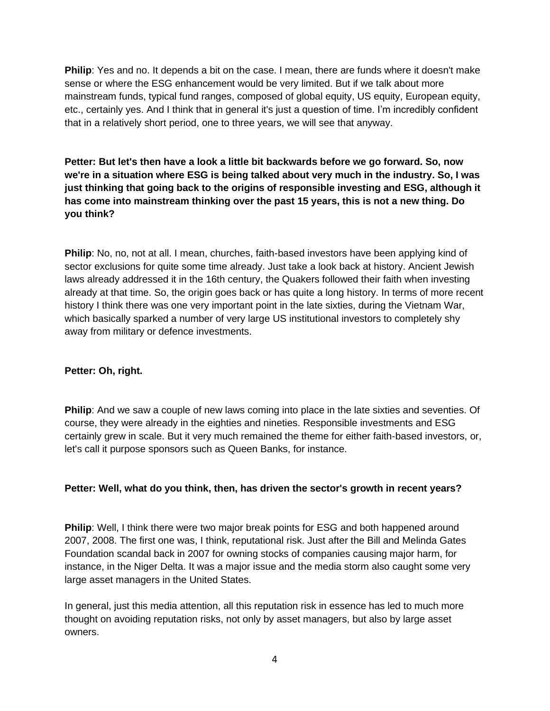**Philip**: Yes and no. It depends a bit on the case. I mean, there are funds where it doesn't make sense or where the ESG enhancement would be very limited. But if we talk about more mainstream funds, typical fund ranges, composed of global equity, US equity, European equity, etc., certainly yes. And I think that in general it's just a question of time. I'm incredibly confident that in a relatively short period, one to three years, we will see that anyway.

**Petter: But let's then have a look a little bit backwards before we go forward. So, now we're in a situation where ESG is being talked about very much in the industry. So, I was just thinking that going back to the origins of responsible investing and ESG, although it has come into mainstream thinking over the past 15 years, this is not a new thing. Do you think?** 

**Philip**: No, no, not at all. I mean, churches, faith-based investors have been applying kind of sector exclusions for quite some time already. Just take a look back at history. Ancient Jewish laws already addressed it in the 16th century, the Quakers followed their faith when investing already at that time. So, the origin goes back or has quite a long history. In terms of more recent history I think there was one very important point in the late sixties, during the Vietnam War, which basically sparked a number of very large US institutional investors to completely shy away from military or defence investments.

#### **Petter: Oh, right.**

**Philip**: And we saw a couple of new laws coming into place in the late sixties and seventies. Of course, they were already in the eighties and nineties. Responsible investments and ESG certainly grew in scale. But it very much remained the theme for either faith-based investors, or, let's call it purpose sponsors such as Queen Banks, for instance.

#### **Petter: Well, what do you think, then, has driven the sector's growth in recent years?**

**Philip**: Well, I think there were two major break points for ESG and both happened around 2007, 2008. The first one was, I think, reputational risk. Just after the Bill and Melinda Gates Foundation scandal back in 2007 for owning stocks of companies causing major harm, for instance, in the Niger Delta. It was a major issue and the media storm also caught some very large asset managers in the United States.

In general, just this media attention, all this reputation risk in essence has led to much more thought on avoiding reputation risks, not only by asset managers, but also by large asset owners.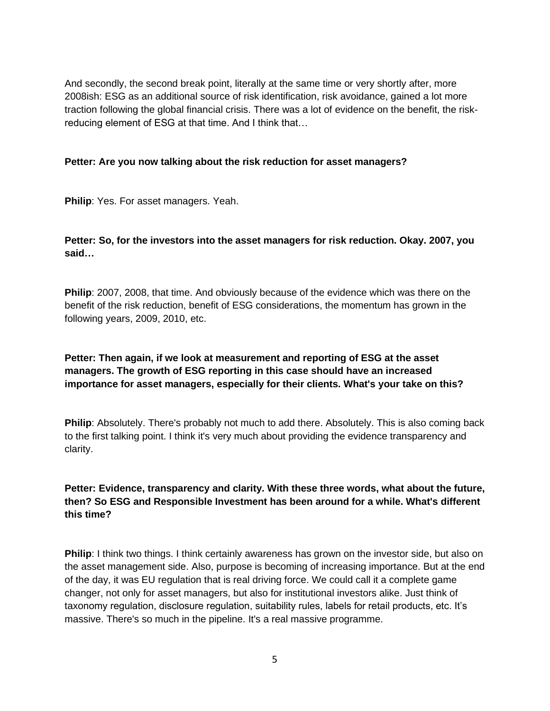And secondly, the second break point, literally at the same time or very shortly after, more 2008ish: ESG as an additional source of risk identification, risk avoidance, gained a lot more traction following the global financial crisis. There was a lot of evidence on the benefit, the riskreducing element of ESG at that time. And I think that…

#### **Petter: Are you now talking about the risk reduction for asset managers?**

**Philip**: Yes. For asset managers. Yeah.

## **Petter: So, for the investors into the asset managers for risk reduction. Okay. 2007, you said…**

**Philip**: 2007, 2008, that time. And obviously because of the evidence which was there on the benefit of the risk reduction, benefit of ESG considerations, the momentum has grown in the following years, 2009, 2010, etc.

## **Petter: Then again, if we look at measurement and reporting of ESG at the asset managers. The growth of ESG reporting in this case should have an increased importance for asset managers, especially for their clients. What's your take on this?**

**Philip**: Absolutely. There's probably not much to add there. Absolutely. This is also coming back to the first talking point. I think it's very much about providing the evidence transparency and clarity.

## **Petter: Evidence, transparency and clarity. With these three words, what about the future, then? So ESG and Responsible Investment has been around for a while. What's different this time?**

**Philip**: I think two things. I think certainly awareness has grown on the investor side, but also on the asset management side. Also, purpose is becoming of increasing importance. But at the end of the day, it was EU regulation that is real driving force. We could call it a complete game changer, not only for asset managers, but also for institutional investors alike. Just think of taxonomy regulation, disclosure regulation, suitability rules, labels for retail products, etc. It's massive. There's so much in the pipeline. It's a real massive programme.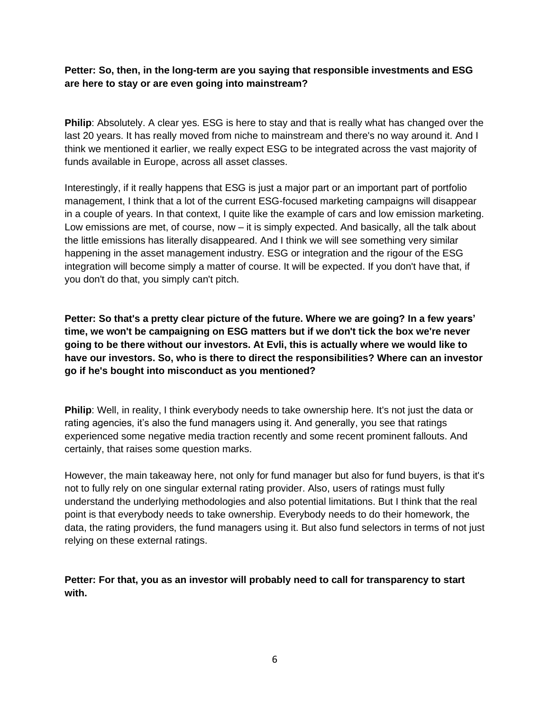**Petter: So, then, in the long-term are you saying that responsible investments and ESG are here to stay or are even going into mainstream?**

**Philip**: Absolutely. A clear yes. ESG is here to stay and that is really what has changed over the last 20 years. It has really moved from niche to mainstream and there's no way around it. And I think we mentioned it earlier, we really expect ESG to be integrated across the vast majority of funds available in Europe, across all asset classes.

Interestingly, if it really happens that ESG is just a major part or an important part of portfolio management, I think that a lot of the current ESG-focused marketing campaigns will disappear in a couple of years. In that context, I quite like the example of cars and low emission marketing. Low emissions are met, of course, now – it is simply expected. And basically, all the talk about the little emissions has literally disappeared. And I think we will see something very similar happening in the asset management industry. ESG or integration and the rigour of the ESG integration will become simply a matter of course. It will be expected. If you don't have that, if you don't do that, you simply can't pitch.

**Petter: So that's a pretty clear picture of the future. Where we are going? In a few years' time, we won't be campaigning on ESG matters but if we don't tick the box we're never going to be there without our investors. At Evli, this is actually where we would like to have our investors. So, who is there to direct the responsibilities? Where can an investor go if he's bought into misconduct as you mentioned?**

**Philip**: Well, in reality, I think everybody needs to take ownership here. It's not just the data or rating agencies, it's also the fund managers using it. And generally, you see that ratings experienced some negative media traction recently and some recent prominent fallouts. And certainly, that raises some question marks.

However, the main takeaway here, not only for fund manager but also for fund buyers, is that it's not to fully rely on one singular external rating provider. Also, users of ratings must fully understand the underlying methodologies and also potential limitations. But I think that the real point is that everybody needs to take ownership. Everybody needs to do their homework, the data, the rating providers, the fund managers using it. But also fund selectors in terms of not just relying on these external ratings.

**Petter: For that, you as an investor will probably need to call for transparency to start with.**